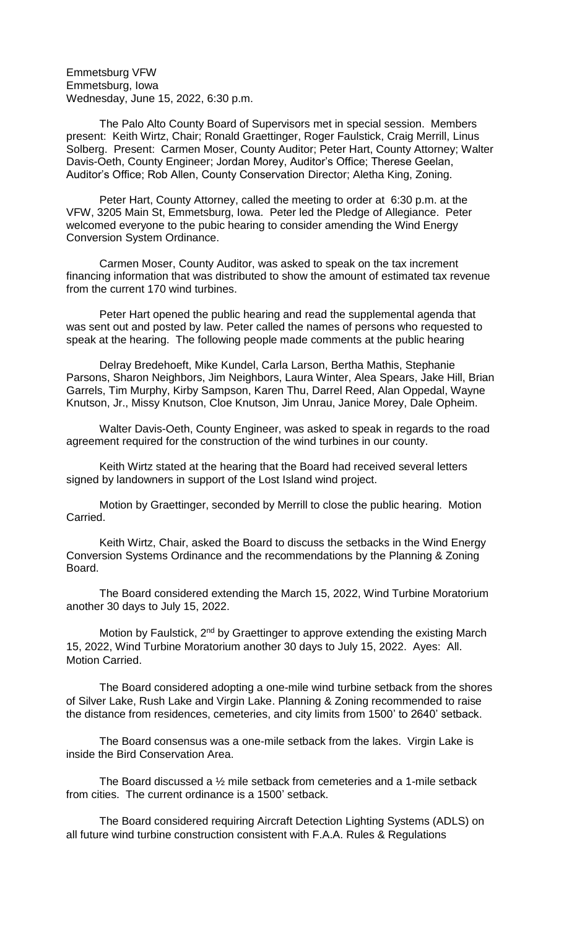Emmetsburg VFW Emmetsburg, Iowa Wednesday, June 15, 2022, 6:30 p.m.

The Palo Alto County Board of Supervisors met in special session. Members present: Keith Wirtz, Chair; Ronald Graettinger, Roger Faulstick, Craig Merrill, Linus Solberg. Present: Carmen Moser, County Auditor; Peter Hart, County Attorney; Walter Davis-Oeth, County Engineer; Jordan Morey, Auditor's Office; Therese Geelan, Auditor's Office; Rob Allen, County Conservation Director; Aletha King, Zoning.

Peter Hart, County Attorney, called the meeting to order at 6:30 p.m. at the VFW, 3205 Main St, Emmetsburg, Iowa. Peter led the Pledge of Allegiance. Peter welcomed everyone to the pubic hearing to consider amending the Wind Energy Conversion System Ordinance.

Carmen Moser, County Auditor, was asked to speak on the tax increment financing information that was distributed to show the amount of estimated tax revenue from the current 170 wind turbines.

Peter Hart opened the public hearing and read the supplemental agenda that was sent out and posted by law. Peter called the names of persons who requested to speak at the hearing. The following people made comments at the public hearing

Delray Bredehoeft, Mike Kundel, Carla Larson, Bertha Mathis, Stephanie Parsons, Sharon Neighbors, Jim Neighbors, Laura Winter, Alea Spears, Jake Hill, Brian Garrels, Tim Murphy, Kirby Sampson, Karen Thu, Darrel Reed, Alan Oppedal, Wayne Knutson, Jr., Missy Knutson, Cloe Knutson, Jim Unrau, Janice Morey, Dale Opheim.

Walter Davis-Oeth, County Engineer, was asked to speak in regards to the road agreement required for the construction of the wind turbines in our county.

Keith Wirtz stated at the hearing that the Board had received several letters signed by landowners in support of the Lost Island wind project.

Motion by Graettinger, seconded by Merrill to close the public hearing. Motion Carried.

Keith Wirtz, Chair, asked the Board to discuss the setbacks in the Wind Energy Conversion Systems Ordinance and the recommendations by the Planning & Zoning Board.

The Board considered extending the March 15, 2022, Wind Turbine Moratorium another 30 days to July 15, 2022.

Motion by Faulstick, 2<sup>nd</sup> by Graettinger to approve extending the existing March 15, 2022, Wind Turbine Moratorium another 30 days to July 15, 2022. Ayes: All. Motion Carried.

The Board considered adopting a one-mile wind turbine setback from the shores of Silver Lake, Rush Lake and Virgin Lake. Planning & Zoning recommended to raise the distance from residences, cemeteries, and city limits from 1500' to 2640' setback.

The Board consensus was a one-mile setback from the lakes. Virgin Lake is inside the Bird Conservation Area.

The Board discussed a ½ mile setback from cemeteries and a 1-mile setback from cities. The current ordinance is a 1500' setback.

The Board considered requiring Aircraft Detection Lighting Systems (ADLS) on all future wind turbine construction consistent with F.A.A. Rules & Regulations